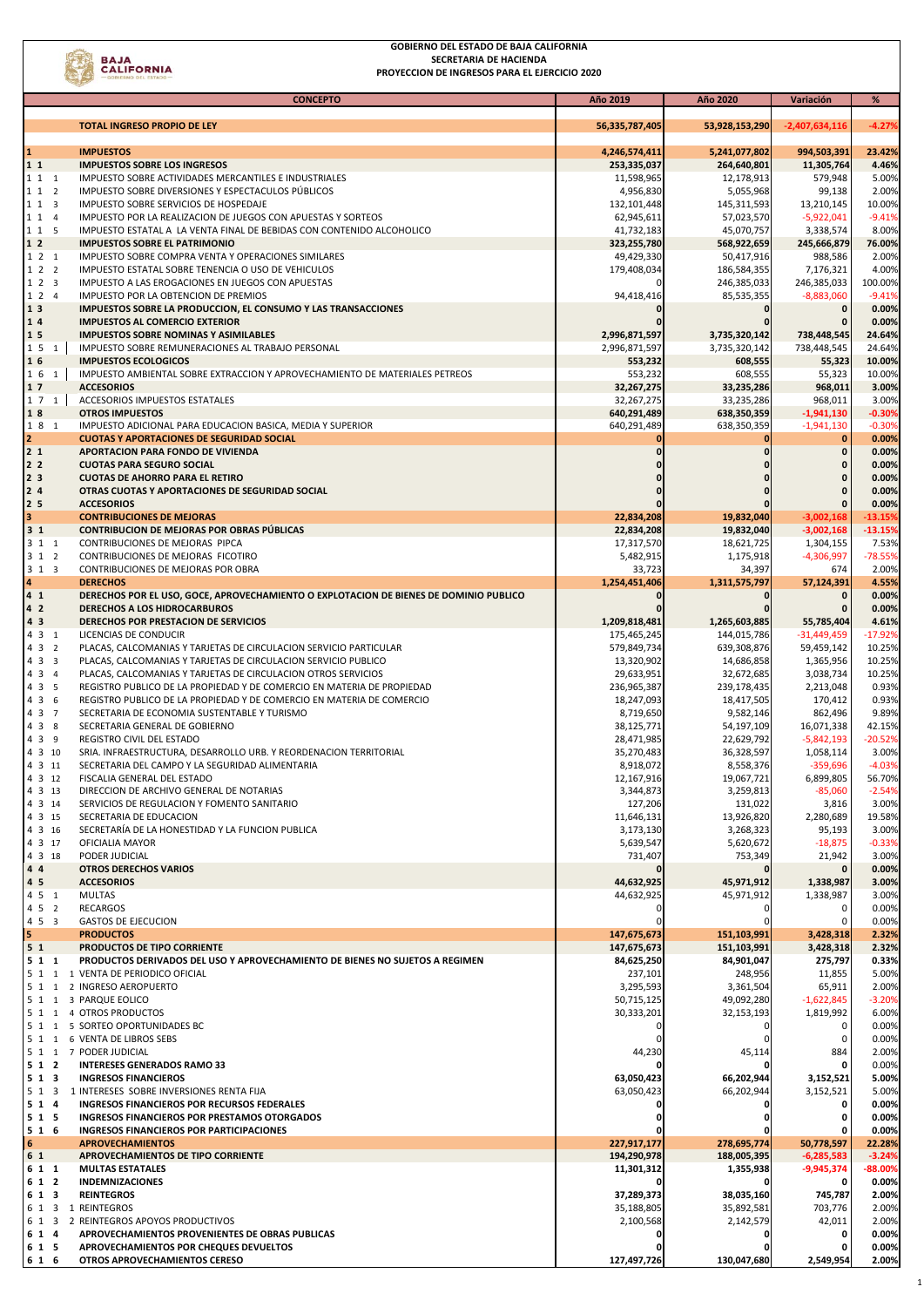

## **GOBIERNO DEL ESTADO DE BAJA CALIFORNIA SECRETARIA DE HACIENDA PROYECCION DE INGRESOS PARA EL EJERCICIO 2020**

|                                  | <b>CONCEPTO</b>                                                                                                                                 | Año 2019                  | Año 2020                  | Variación                 | %                |
|----------------------------------|-------------------------------------------------------------------------------------------------------------------------------------------------|---------------------------|---------------------------|---------------------------|------------------|
|                                  |                                                                                                                                                 |                           |                           |                           |                  |
|                                  | <b>TOTAL INGRESO PROPIO DE LEY</b>                                                                                                              | 56,335,787,405            | 53,928,153,290            | $-2,407,634,116$          | $-4.27%$         |
| $\mathbf{1}$                     | <b>IMPUESTOS</b>                                                                                                                                | 4,246,574,411             | 5,241,077,802             | 994,503,391               | 23.42%           |
| 11<br>1 1 1                      | <b>IMPUESTOS SOBRE LOS INGRESOS</b><br>IMPUESTO SOBRE ACTIVIDADES MERCANTILES E INDUSTRIALES                                                    | 253,335,037<br>11,598,965 | 264,640,801               | 11,305,764<br>579,948     | 4.46%<br>5.00%   |
| 112                              | IMPUESTO SOBRE DIVERSIONES Y ESPECTACULOS PÚBLICOS                                                                                              | 4,956,830                 | 12,178,913<br>5,055,968   | 99,138                    | 2.00%            |
| 113                              | IMPUESTO SOBRE SERVICIOS DE HOSPEDAJE                                                                                                           | 132,101,448               | 145,311,593               | 13,210,145                | 10.00%           |
| 1 1 4                            | IMPUESTO POR LA REALIZACION DE JUEGOS CON APUESTAS Y SORTEOS                                                                                    | 62,945,611                | 57,023,570                | $-5,922,041$              | $-9.41%$         |
| 115                              | IMPUESTO ESTATAL A LA VENTA FINAL DE BEBIDAS CON CONTENIDO ALCOHOLICO                                                                           | 41,732,183                | 45,070,757                | 3,338,574                 | 8.00%            |
| 1 <sub>2</sub>                   | <b>IMPUESTOS SOBRE EL PATRIMONIO</b>                                                                                                            | 323,255,780               | 568,922,659               | 245,666,879               | 76.00%           |
| 121<br>122                       | IMPUESTO SOBRE COMPRA VENTA Y OPERACIONES SIMILARES<br>IMPUESTO ESTATAL SOBRE TENENCIA O USO DE VEHICULOS                                       | 49,429,330<br>179,408,034 | 50,417,916<br>186,584,355 | 988,586<br>7,176,321      | 2.00%<br>4.00%   |
| 123                              | IMPUESTO A LAS EROGACIONES EN JUEGOS CON APUESTAS                                                                                               |                           | 246,385,033               | 246,385,033               | 100.00%          |
| 124                              | IMPUESTO POR LA OBTENCION DE PREMIOS                                                                                                            | 94,418,416                | 85,535,355                | $-8,883,060$              | $-9.41%$         |
| 1 3                              | IMPUESTOS SOBRE LA PRODUCCION, EL CONSUMO Y LAS TRANSACCIONES                                                                                   |                           | $\mathbf 0$               | 0                         | 0.00%            |
| 14                               | <b>IMPUESTOS AL COMERCIO EXTERIOR</b>                                                                                                           |                           |                           |                           | 0.00%            |
| 15                               | <b>IMPUESTOS SOBRE NOMINAS Y ASIMILABLES</b>                                                                                                    | 2,996,871,597             | 3,735,320,142             | 738,448,545               | 24.64%           |
| 151<br>16                        | IMPUESTO SOBRE REMUNERACIONES AL TRABAJO PERSONAL<br><b>IMPUESTOS ECOLOGICOS</b>                                                                | 2,996,871,597             | 3,735,320,142             | 738,448,545               | 24.64%           |
| 1 6 1                            | IMPUESTO AMBIENTAL SOBRE EXTRACCION Y APROVECHAMIENTO DE MATERIALES PETREOS                                                                     | 553,232<br>553,232        | 608,555<br>608,555        | 55,323<br>55,323          | 10.00%<br>10.00% |
| 17                               | <b>ACCESORIOS</b>                                                                                                                               | 32,267,275                | 33,235,286                | 968,011                   | 3.00%            |
| $1 \t7 \t1$                      | ACCESORIOS IMPUESTOS ESTATALES                                                                                                                  | 32,267,275                | 33,235,286                | 968,011                   | 3.00%            |
| 18                               | <b>OTROS IMPUESTOS</b>                                                                                                                          | 640,291,489               | 638,350,359               | $-1,941,130$              | $-0.30%$         |
| 18 1                             | IMPUESTO ADICIONAL PARA EDUCACION BASICA, MEDIA Y SUPERIOR                                                                                      | 640,291,489               | 638,350,359               | $-1,941,130$              | $-0.30%$         |
| $\overline{2}$                   | <b>CUOTAS Y APORTACIONES DE SEGURIDAD SOCIAL</b>                                                                                                |                           |                           | $\mathbf 0$               | 0.00%            |
| 2 <sub>1</sub><br>2 <sub>2</sub> | APORTACION PARA FONDO DE VIVIENDA                                                                                                               |                           |                           | $\mathbf{0}$              | 0.00%            |
| 2 <sub>3</sub>                   | <b>CUOTAS PARA SEGURO SOCIAL</b><br><b>CUOTAS DE AHORRO PARA EL RETIRO</b>                                                                      |                           |                           | 0<br>0                    | 0.00%<br>0.00%   |
| 24                               | OTRAS CUOTAS Y APORTACIONES DE SEGURIDAD SOCIAL                                                                                                 |                           |                           |                           | 0.00%            |
| 2 <sub>5</sub>                   | <b>ACCESORIOS</b>                                                                                                                               |                           |                           |                           | 0.00%            |
| 3                                | <b>CONTRIBUCIONES DE MEJORAS</b>                                                                                                                | 22,834,208                | 19,832,040                | $-3,002,168$              | $-13.15%$        |
| 3 <sub>1</sub>                   | <b>CONTRIBUCION DE MEJORAS POR OBRAS PÚBLICAS</b>                                                                                               | 22,834,208                | 19,832,040                | $-3,002,168$              | $-13.15%$        |
| 3 1 1                            | CONTRIBUCIONES DE MEJORAS PIPCA                                                                                                                 | 17,317,570                | 18,621,725                | 1,304,155                 | 7.53%            |
| 312                              | CONTRIBUCIONES DE MEJORAS FICOTIRO                                                                                                              | 5,482,915                 | 1,175,918                 | -4,306,997                | $-78.55%$        |
| 313<br>$\overline{\mathbf{a}}$   | CONTRIBUCIONES DE MEJORAS POR OBRA<br><b>DERECHOS</b>                                                                                           | 33,723<br>1,254,451,406   | 34,397<br>1,311,575,797   | 674<br>57,124,391         | 2.00%<br>4.55%   |
| 4 <sub>1</sub>                   | DERECHOS POR EL USO, GOCE, APROVECHAMIENTO O EXPLOTACION DE BIENES DE DOMINIO PUBLICO                                                           |                           |                           | $\mathbf 0$               | 0.00%            |
| 4 <sub>2</sub>                   | <b>DERECHOS A LOS HIDROCARBUROS</b>                                                                                                             |                           |                           |                           | 0.00%            |
| 43                               | DERECHOS POR PRESTACION DE SERVICIOS                                                                                                            | 1,209,818,481             | 1,265,603,885             | 55,785,404                | 4.61%            |
| 4 3 1                            | LICENCIAS DE CONDUCIR                                                                                                                           | 175,465,245               | 144,015,786               | $-31,449,459$             | $-17.92%$        |
| 4 3 2                            | PLACAS, CALCOMANIAS Y TARJETAS DE CIRCULACION SERVICIO PARTICULAR                                                                               | 579,849,734               | 639,308,876               | 59,459,142                | 10.25%           |
| 433                              | PLACAS, CALCOMANIAS Y TARJETAS DE CIRCULACION SERVICIO PUBLICO                                                                                  | 13,320,902                | 14,686,858                | 1,365,956                 | 10.25%           |
| 4 3 4                            | PLACAS, CALCOMANIAS Y TARJETAS DE CIRCULACION OTROS SERVICIOS                                                                                   | 29,633,951                | 32,672,685                | 3,038,734                 | 10.25%           |
| 4 3 5<br>4 3 6                   | REGISTRO PUBLICO DE LA PROPIEDAD Y DE COMERCIO EN MATERIA DE PROPIEDAD<br>REGISTRO PUBLICO DE LA PROPIEDAD Y DE COMERCIO EN MATERIA DE COMERCIO | 236,965,387               | 239,178,435               | 2,213,048                 | 0.93%<br>0.93%   |
| 4 3 7                            | SECRETARIA DE ECONOMIA SUSTENTABLE Y TURISMO                                                                                                    | 18,247,093<br>8,719,650   | 18,417,505<br>9,582,146   | 170,412<br>862,496        | 9.89%            |
| 4 3 8                            | SECRETARIA GENERAL DE GOBIERNO                                                                                                                  | 38,125,771                | 54,197,109                | 16,071,338                | 42.15%           |
| 4 3 9                            | REGISTRO CIVIL DEL ESTADO                                                                                                                       | 28,471,985                | 22,629,792                | $-5,842,193$              | $-20.52%$        |
| 4 3 10                           | SRIA. INFRAESTRUCTURA, DESARROLLO URB. Y REORDENACION TERRITORIAL                                                                               | 35,270,483                | 36,328,597                | 1,058,114                 | 3.00%            |
| 4 3 11                           | SECRETARIA DEL CAMPO Y LA SEGURIDAD ALIMENTARIA                                                                                                 | 8,918,072                 | 8,558,376                 | $-359,696$                | $-4.03%$         |
| 4 3 12                           | FISCALIA GENERAL DEL ESTADO                                                                                                                     | 12,167,916                | 19,067,721                | 6,899,805                 | 56.70%           |
| 4 3 13                           | DIRECCION DE ARCHIVO GENERAL DE NOTARIAS                                                                                                        | 3,344,873                 | 3,259,813                 | $-85,060$                 | $-2.54%$         |
| 4 3 14<br>4 3 15                 | SERVICIOS DE REGULACION Y FOMENTO SANITARIO<br>SECRETARIA DE EDUCACION                                                                          | 127,206<br>11,646,131     | 131,022<br>13,926,820     | 3,816<br>2,280,689        | 3.00%<br>19.58%  |
| 4 3 16                           | SECRETARÍA DE LA HONESTIDAD Y LA FUNCION PUBLICA                                                                                                | 3,173,130                 | 3,268,323                 | 95,193                    | 3.00%            |
| 4 3 17                           | OFICIALIA MAYOR                                                                                                                                 | 5,639,547                 | 5,620,672                 | $-18,875$                 | $-0.33%$         |
| 4 3 18                           | PODER JUDICIAL                                                                                                                                  | 731,407                   | 753,349                   | 21,942                    | 3.00%            |
| 44                               | <b>OTROS DERECHOS VARIOS</b>                                                                                                                    |                           |                           |                           | 0.00%            |
| 45                               | <b>ACCESORIOS</b>                                                                                                                               | 44,632,925                | 45,971,912                | 1,338,987                 | 3.00%            |
| 4 5 1                            | <b>MULTAS</b>                                                                                                                                   | 44,632,925                | 45,971,912                | 1,338,987                 | 3.00%            |
| 4 5 2<br>453                     | <b>RECARGOS</b><br><b>GASTOS DE EJECUCION</b>                                                                                                   |                           | C                         | 0                         | 0.00%<br>0.00%   |
| 5                                | <b>PRODUCTOS</b>                                                                                                                                | 147,675,673               | 151,103,991               | 3,428,318                 | 2.32%            |
| 5 <sub>1</sub>                   | PRODUCTOS DE TIPO CORRIENTE                                                                                                                     | 147,675,673               | 151,103,991               | 3,428,318                 | 2.32%            |
| 511                              | PRODUCTOS DERIVADOS DEL USO Y APROVECHAMIENTO DE BIENES NO SUJETOS A REGIMEN                                                                    | 84,625,250                | 84,901,047                | 275,797                   | 0.33%            |
|                                  | 5 1 1 1 VENTA DE PERIODICO OFICIAL                                                                                                              | 237,101                   | 248,956                   | 11,855                    | 5.00%            |
|                                  | 5 1 1 2 INGRESO AEROPUERTO                                                                                                                      | 3,295,593                 | 3,361,504                 | 65,911                    | 2.00%            |
|                                  | 5 1 1 3 PARQUE EOLICO                                                                                                                           | 50,715,125                | 49,092,280                | $-1,622,845$<br>1,819,992 | $-3.20%$         |
|                                  | 5 1 1 4 OTROS PRODUCTOS<br>5 1 1 5 SORTEO OPORTUNIDADES BC                                                                                      | 30,333,201                | 32,153,193                | 0                         | 6.00%<br>0.00%   |
|                                  | 5 1 1 6 VENTA DE LIBROS SEBS                                                                                                                    |                           |                           | 0                         | 0.00%            |
|                                  | 5 1 1 7 PODER JUDICIAL                                                                                                                          | 44,230                    | 45,114                    | 884                       | 2.00%            |
| 512                              | <b>INTERESES GENERADOS RAMO 33</b>                                                                                                              |                           |                           |                           | 0.00%            |
| 513                              | <b>INGRESOS FINANCIEROS</b>                                                                                                                     | 63,050,423                | 66,202,944                | 3,152,521                 | 5.00%            |
| 513                              | 1 INTERESES SOBRE INVERSIONES RENTA FIJA                                                                                                        | 63,050,423                | 66,202,944                | 3,152,521                 | 5.00%            |
| 5 1 4                            | INGRESOS FINANCIEROS POR RECURSOS FEDERALES                                                                                                     |                           |                           | 0                         | 0.00%            |
| 5 1 5<br>516                     | INGRESOS FINANCIEROS POR PRESTAMOS OTORGADOS                                                                                                    |                           |                           | 0                         | 0.00%            |
| 6                                | INGRESOS FINANCIEROS POR PARTICIPACIONES<br><b>APROVECHAMIENTOS</b>                                                                             | 227,917,177               | 278,695,774               | 50,778,597                | 0.00%<br>22.28%  |
| 6 1                              | APROVECHAMIENTOS DE TIPO CORRIENTE                                                                                                              | 194,290,978               | 188,005,395               | $-6,285,583$              | $-3.24%$         |
| 6 1 1                            | <b>MULTAS ESTATALES</b>                                                                                                                         | 11,301,312                | 1,355,938                 | $-9,945,374$              | $-88.00%$        |
| 6 1 2                            | <b>INDEMNIZACIONES</b>                                                                                                                          |                           |                           |                           | 0.00%            |
| 6 1 3                            | <b>REINTEGROS</b>                                                                                                                               | 37,289,373                | 38,035,160                | 745,787                   | 2.00%            |
|                                  | 6 1 3 1 REINTEGROS                                                                                                                              | 35,188,805                | 35,892,581                | 703,776                   | 2.00%            |
| 6 1 3                            | 2 REINTEGROS APOYOS PRODUCTIVOS                                                                                                                 | 2,100,568                 | 2,142,579                 | 42,011                    | 2.00%            |
| 6 1 4<br>6 1 5                   | APROVECHAMIENTOS PROVENIENTES DE OBRAS PUBLICAS<br>APROVECHAMIENTOS POR CHEQUES DEVUELTOS                                                       |                           | O                         | 0                         | 0.00%<br>0.00%   |
| 6 1 6                            | OTROS APROVECHAMIENTOS CERESO                                                                                                                   | 127,497,726               | 130,047,680               | 2,549,954                 | 2.00%            |